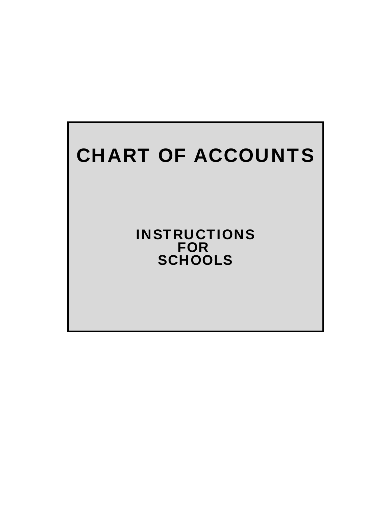# CHART OF ACCOUNTS

INSTRUCTIONS FOR **SCHOOLS**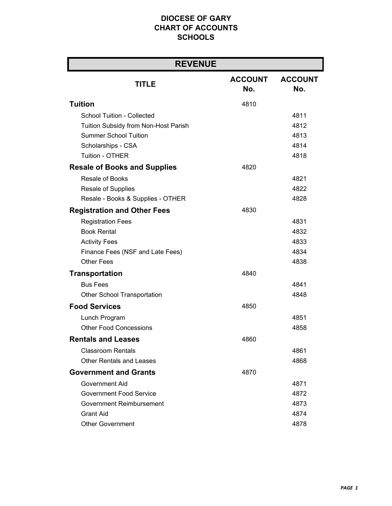| <b>REVENUE</b>                       |                       |                       |
|--------------------------------------|-----------------------|-----------------------|
| <b>TITLE</b>                         | <b>ACCOUNT</b><br>No. | <b>ACCOUNT</b><br>No. |
| <b>Tuition</b>                       | 4810                  |                       |
| School Tuition - Collected           |                       | 4811                  |
| Tuition Subsidy from Non-Host Parish |                       | 4812                  |
| <b>Summer School Tuition</b>         |                       | 4813                  |
| Scholarships - CSA                   |                       | 4814                  |
| <b>Tuition - OTHER</b>               |                       | 4818                  |
| <b>Resale of Books and Supplies</b>  | 4820                  |                       |
| <b>Resale of Books</b>               |                       | 4821                  |
| Resale of Supplies                   |                       | 4822                  |
| Resale - Books & Supplies - OTHER    |                       | 4828                  |
| <b>Registration and Other Fees</b>   | 4830                  |                       |
| <b>Registration Fees</b>             |                       | 4831                  |
| <b>Book Rental</b>                   |                       | 4832                  |
| <b>Activity Fees</b>                 |                       | 4833                  |
| Finance Fees (NSF and Late Fees)     |                       | 4834                  |
| <b>Other Fees</b>                    |                       | 4838                  |
| <b>Transportation</b>                | 4840                  |                       |
| <b>Bus Fees</b>                      |                       | 4841                  |
| <b>Other School Transportation</b>   |                       | 4848                  |
| <b>Food Services</b>                 | 4850                  |                       |
| Lunch Program                        |                       | 4851                  |
| <b>Other Food Concessions</b>        |                       | 4858                  |
| <b>Rentals and Leases</b>            | 4860                  |                       |
| <b>Classroom Rentals</b>             |                       | 4861                  |
| <b>Other Rentals and Leases</b>      |                       | 4868                  |
| <b>Government and Grants</b>         | 4870                  |                       |
| Government Aid                       |                       | 4871                  |
| Government Food Service              |                       | 4872                  |
| Government Reimbursement             |                       | 4873                  |
| <b>Grant Aid</b>                     |                       | 4874                  |
| <b>Other Government</b>              |                       | 4878                  |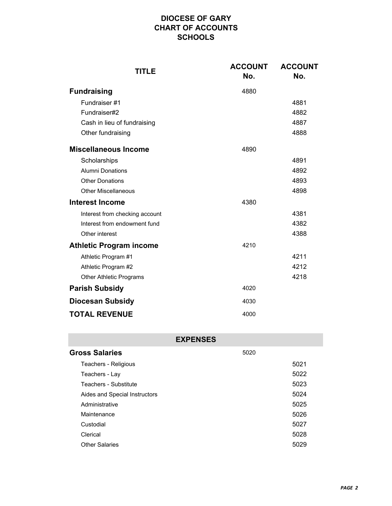| <b>TITLE</b>                   | <b>ACCOUNT</b><br>No. | <b>ACCOUNT</b><br>No. |
|--------------------------------|-----------------------|-----------------------|
| <b>Fundraising</b>             | 4880                  |                       |
| Fundraiser #1                  |                       | 4881                  |
| Fundraiser#2                   |                       | 4882                  |
| Cash in lieu of fundraising    |                       | 4887                  |
| Other fundraising              |                       | 4888                  |
| <b>Miscellaneous Income</b>    | 4890                  |                       |
| Scholarships                   |                       | 4891                  |
| <b>Alumni Donations</b>        |                       | 4892                  |
| <b>Other Donations</b>         |                       | 4893                  |
| <b>Other Miscellaneous</b>     | 4898                  |                       |
| <b>Interest Income</b>         | 4380                  |                       |
| Interest from checking account |                       | 4381                  |
| Interest from endowment fund   |                       | 4382                  |
| Other interest                 |                       | 4388                  |
| <b>Athletic Program income</b> | 4210                  |                       |
| Athletic Program #1            |                       | 4211                  |
| Athletic Program #2            |                       | 4212                  |
| <b>Other Athletic Programs</b> |                       | 4218                  |
| <b>Parish Subsidy</b>          | 4020                  |                       |
| <b>Diocesan Subsidy</b>        | 4030                  |                       |
| <b>TOTAL REVENUE</b>           | 4000                  |                       |

| <b>EXPENSES</b>               |      |      |  |
|-------------------------------|------|------|--|
| <b>Gross Salaries</b>         | 5020 |      |  |
| Teachers - Religious          |      | 5021 |  |
| Teachers - Lay                |      | 5022 |  |
| Teachers - Substitute         |      | 5023 |  |
| Aides and Special Instructors |      | 5024 |  |
| Administrative                |      | 5025 |  |
| Maintenance                   |      | 5026 |  |
| Custodial                     |      | 5027 |  |
| Clerical                      |      | 5028 |  |
| <b>Other Salaries</b>         |      | 5029 |  |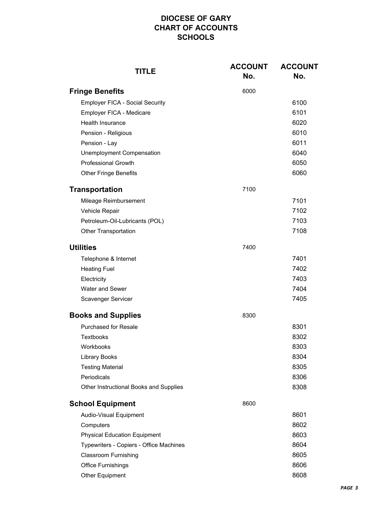| <b>TITLE</b>                            | <b>ACCOUNT</b><br>No. | <b>ACCOUNT</b><br>No. |
|-----------------------------------------|-----------------------|-----------------------|
| <b>Fringe Benefits</b>                  | 6000                  |                       |
| <b>Employer FICA - Social Security</b>  |                       | 6100                  |
| Employer FICA - Medicare                |                       | 6101                  |
| Health Insurance                        |                       | 6020                  |
| Pension - Religious                     |                       | 6010                  |
| Pension - Lay                           |                       | 6011                  |
| <b>Unemployment Compensation</b>        |                       | 6040                  |
| <b>Professional Growth</b>              |                       | 6050                  |
| <b>Other Fringe Benefits</b>            |                       | 6060                  |
| <b>Transportation</b>                   | 7100                  |                       |
| Mileage Reimbursement                   |                       | 7101                  |
| Vehicle Repair                          |                       | 7102                  |
| Petroleum-Oil-Lubricants (POL)          |                       | 7103                  |
| <b>Other Transportation</b>             |                       | 7108                  |
| <b>Utilities</b>                        | 7400                  |                       |
| Telephone & Internet                    |                       | 7401                  |
| <b>Heating Fuel</b>                     |                       | 7402                  |
| Electricity                             |                       | 7403                  |
| Water and Sewer                         |                       | 7404                  |
| Scavenger Servicer                      |                       | 7405                  |
| <b>Books and Supplies</b>               | 8300                  |                       |
| <b>Purchased for Resale</b>             |                       | 8301                  |
| <b>Textbooks</b>                        |                       | 8302                  |
| Workbooks                               |                       | 8303                  |
| <b>Library Books</b>                    |                       | 8304                  |
| <b>Testing Material</b>                 |                       | 8305                  |
| Periodicals                             |                       | 8306                  |
| Other Instructional Books and Supplies  |                       | 8308                  |
| <b>School Equipment</b>                 | 8600                  |                       |
| Audio-Visual Equipment                  |                       | 8601                  |
| Computers                               |                       | 8602                  |
| <b>Physical Education Equipment</b>     |                       | 8603                  |
| Typewriters - Copiers - Office Machines |                       | 8604                  |
| <b>Classroom Furnishing</b>             |                       | 8605                  |
| <b>Office Furnishings</b>               |                       | 8606                  |
| Other Equipment                         |                       | 8608                  |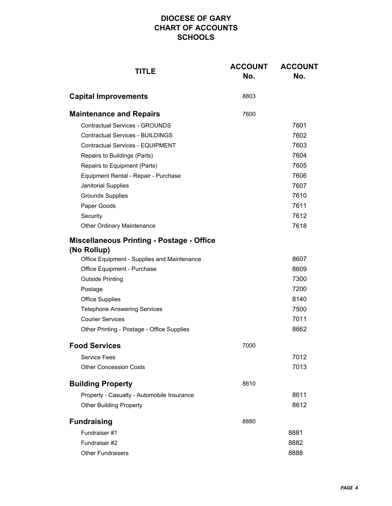| <b>TITLE</b>                                               | <b>ACCOUNT</b><br>No. | <b>ACCOUNT</b><br>No. |
|------------------------------------------------------------|-----------------------|-----------------------|
| <b>Capital Improvements</b>                                | 8803                  |                       |
| <b>Maintenance and Repairs</b>                             | 7600                  |                       |
| <b>Contractual Services - GROUNDS</b>                      |                       | 7601                  |
| <b>Contractual Services - BUILDINGS</b>                    |                       | 7602                  |
| <b>Contractual Services - EQUIPMENT</b>                    |                       | 7603                  |
| Repairs to Buildings (Parts)                               |                       | 7604                  |
| Repairs to Equipment (Parts)                               |                       | 7605                  |
| Equipment Rental - Repair - Purchase                       |                       | 7606                  |
| Janitorial Supplies                                        |                       | 7607                  |
| <b>Grounds Supplies</b>                                    |                       | 7610                  |
| Paper Goods                                                |                       | 7611                  |
| Security                                                   |                       | 7612                  |
| <b>Other Ordinary Maintenance</b>                          |                       | 7618                  |
| <b>Miscellaneous Printing - Postage - Office</b>           |                       |                       |
| (No Rollup)<br>Office Equipment - Supplies and Maintenance |                       | 8607                  |
| Office Equipment - Purchase                                |                       | 8609                  |
| <b>Outside Printing</b>                                    |                       | 7300                  |
| Postage                                                    |                       | 7200                  |
| <b>Office Supplies</b>                                     |                       | 8140                  |
| <b>Telephone Answering Services</b>                        |                       | 7500                  |
| <b>Courier Services</b>                                    |                       | 7011                  |
| Other Printing - Postage - Office Supplies                 |                       | 8662                  |
| <b>Food Services</b>                                       | 7000                  |                       |
| <b>Service Fees</b>                                        |                       | 7012                  |
| <b>Other Concession Costs</b>                              |                       | 7013                  |
| <b>Building Property</b>                                   | 8610                  |                       |
| Property - Casualty - Automobile Insurance                 |                       | 8611                  |
| <b>Other Building Property</b>                             |                       | 8612                  |
| <b>Fundraising</b>                                         | 8880                  |                       |
| Fundraiser #1                                              |                       | 8881                  |
| Fundraiser #2                                              |                       | 8882                  |
| <b>Other Fundraisers</b>                                   |                       | 8888                  |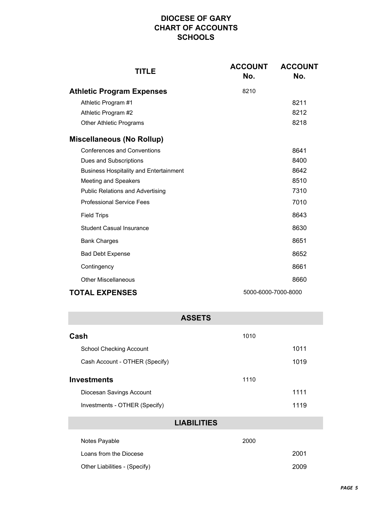| TITLE                                         | <b>ACCOUNT</b><br>No. | <b>ACCOUNT</b><br>No. |
|-----------------------------------------------|-----------------------|-----------------------|
| <b>Athletic Program Expenses</b>              | 8210                  |                       |
| Athletic Program #1                           |                       | 8211                  |
| Athletic Program #2                           |                       | 8212                  |
| <b>Other Athletic Programs</b>                |                       | 8218                  |
| <b>Miscellaneous (No Rollup)</b>              |                       |                       |
| <b>Conferences and Conventions</b>            |                       | 8641                  |
| Dues and Subscriptions                        |                       | 8400                  |
| <b>Business Hospitality and Entertainment</b> |                       | 8642                  |
| <b>Meeting and Speakers</b>                   |                       | 8510                  |
| <b>Public Relations and Advertising</b>       |                       | 7310                  |
| <b>Professional Service Fees</b>              |                       | 7010                  |
| <b>Field Trips</b>                            |                       | 8643                  |
| <b>Student Casual Insurance</b>               |                       | 8630                  |
| <b>Bank Charges</b>                           |                       | 8651                  |
| <b>Bad Debt Expense</b>                       |                       | 8652                  |
| Contingency                                   |                       | 8661                  |
| Other Miscellaneous                           |                       | 8660                  |
| <b>TOTAL EXPENSES</b><br>5000-6000-7000-8000  |                       |                       |

| <b>ASSETS</b>                  |      |      |  |
|--------------------------------|------|------|--|
| Cash                           | 1010 |      |  |
| School Checking Account        |      | 1011 |  |
| Cash Account - OTHER (Specify) |      | 1019 |  |
| <b>Investments</b><br>1110     |      |      |  |
| Diocesan Savings Account       |      | 1111 |  |
| Investments - OTHER (Specify)  |      | 1119 |  |
| <b>LIABILITIES</b>             |      |      |  |
| Notes Payable                  | 2000 |      |  |
| Loans from the Diocese         |      | 2001 |  |
| Other Liabilities - (Specify)  |      | 2009 |  |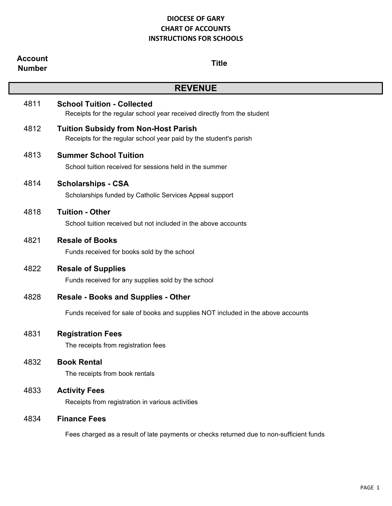| <b>Account</b><br><b>Number</b> | <b>Title</b>                                                                                                     |
|---------------------------------|------------------------------------------------------------------------------------------------------------------|
|                                 | <b>REVENUE</b>                                                                                                   |
| 4811                            | <b>School Tuition - Collected</b><br>Receipts for the regular school year received directly from the student     |
| 4812                            | <b>Tuition Subsidy from Non-Host Parish</b><br>Receipts for the regular school year paid by the student's parish |
| 4813                            | <b>Summer School Tuition</b><br>School tuition received for sessions held in the summer                          |
| 4814                            | <b>Scholarships - CSA</b><br>Scholarships funded by Catholic Services Appeal support                             |
| 4818                            | <b>Tuition - Other</b><br>School tuition received but not included in the above accounts                         |
| 4821                            | <b>Resale of Books</b><br>Funds received for books sold by the school                                            |
| 4822                            | <b>Resale of Supplies</b><br>Funds received for any supplies sold by the school                                  |
| 4828                            | <b>Resale - Books and Supplies - Other</b>                                                                       |
|                                 | Funds received for sale of books and supplies NOT included in the above accounts                                 |
| 4831                            | <b>Registration Fees</b><br>The receipts from registration fees                                                  |
| 4832                            | <b>Book Rental</b><br>The receipts from book rentals                                                             |
| 4833                            | <b>Activity Fees</b><br>Receipts from registration in various activities                                         |
| 4834                            | <b>Finance Fees</b>                                                                                              |
|                                 | Fees charged as a result of late payments or checks returned due to non-sufficient funds                         |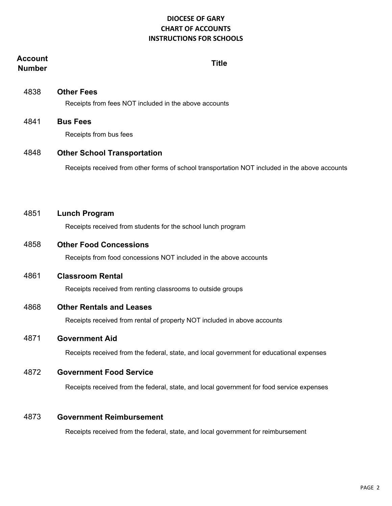# **Account Number Title**

4838 **Other Fees** Receipts from fees NOT included in the above accounts

4841 **Bus Fees** Receipts from bus fees

# 4848 **Other School Transportation**

Receipts received from other forms of school transportation NOT included in the above accounts

| 4851 | <b>Lunch Program</b>                                              |
|------|-------------------------------------------------------------------|
|      | Receipts received from students for the school lunch program      |
| 4858 | <b>Other Food Concessions</b>                                     |
|      | Receipts from food concessions NOT included in the above accounts |
| 4861 | <b>Classroom Rental</b>                                           |
|      | Receipts received from renting classrooms to outside groups       |
|      |                                                                   |

# 4868 **Other Rentals and Leases**

Receipts received from rental of property NOT included in above accounts

# 4871 **Government Aid**

Receipts received from the federal, state, and local government for educational expenses

# 4872 **Government Food Service**

Receipts received from the federal, state, and local government for food service expenses

#### 4873 **Government Reimbursement**

Receipts received from the federal, state, and local government for reimbursement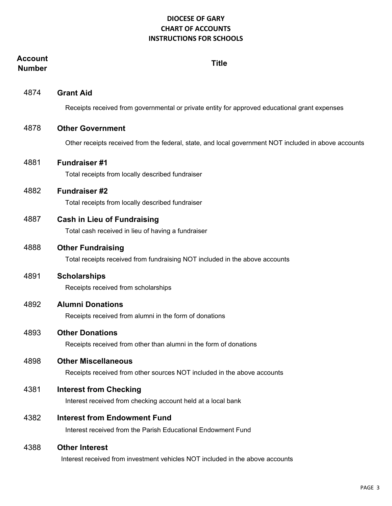| Account<br><b>Number</b> | <b>Title</b>                                                                                            |
|--------------------------|---------------------------------------------------------------------------------------------------------|
| 4874                     | <b>Grant Aid</b>                                                                                        |
|                          | Receipts received from governmental or private entity for approved educational grant expenses           |
| 4878                     | <b>Other Government</b>                                                                                 |
|                          | Other receipts received from the federal, state, and local government NOT included in above accounts    |
| 4881                     | <b>Fundraiser#1</b><br>Total receipts from locally described fundraiser                                 |
| 4882                     | <b>Fundraiser#2</b>                                                                                     |
|                          | Total receipts from locally described fundraiser                                                        |
| 4887                     | <b>Cash in Lieu of Fundraising</b><br>Total cash received in lieu of having a fundraiser                |
| 4888                     | <b>Other Fundraising</b><br>Total receipts received from fundraising NOT included in the above accounts |
| 4891                     | <b>Scholarships</b><br>Receipts received from scholarships                                              |
| 4892                     | <b>Alumni Donations</b>                                                                                 |
|                          | Receipts received from alumni in the form of donations                                                  |
| 4893                     | <b>Other Donations</b><br>Receipts received from other than alumni in the form of donations             |
| 4898                     | <b>Other Miscellaneous</b><br>Receipts received from other sources NOT included in the above accounts   |
| 4381                     | <b>Interest from Checking</b><br>Interest received from checking account held at a local bank           |
| 4382                     | <b>Interest from Endowment Fund</b><br>Interest received from the Parish Educational Endowment Fund     |
| 4388                     | <b>Other Interest</b><br>Interest received from investment vehicles NOT included in the above accounts  |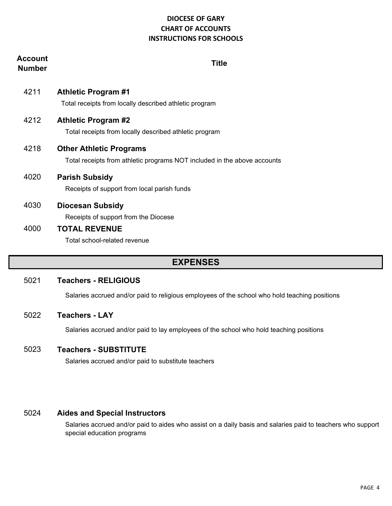| Account<br><b>Number</b> | Title                                                                                                      |
|--------------------------|------------------------------------------------------------------------------------------------------------|
| 4211                     | <b>Athletic Program #1</b><br>Total receipts from locally described athletic program                       |
| 4212                     | <b>Athletic Program #2</b><br>Total receipts from locally described athletic program                       |
| 4218                     | <b>Other Athletic Programs</b><br>Total receipts from athletic programs NOT included in the above accounts |
| 4020                     | <b>Parish Subsidy</b><br>Receipts of support from local parish funds                                       |
| 4030                     | <b>Diocesan Subsidy</b><br>Receipts of support from the Diocese                                            |
| 4000                     | <b>TOTAL REVENUE</b><br>Total school-related revenue                                                       |

# **EXPENSES**

#### 5021 **Teachers - RELIGIOUS**

Salaries accrued and/or paid to religious employees of the school who hold teaching positions

#### 5022 **Teachers - LAY**

Salaries accrued and/or paid to lay employees of the school who hold teaching positions

#### 5023 **Teachers - SUBSTITUTE**

Salaries accrued and/or paid to substitute teachers

#### 5024 **Aides and Special Instructors**

Salaries accrued and/or paid to aides who assist on a daily basis and salaries paid to teachers who support special education programs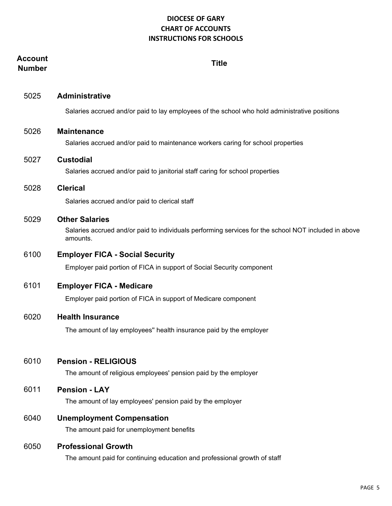| Account<br><b>Number</b> | <b>Title</b>                                                                                                                              |
|--------------------------|-------------------------------------------------------------------------------------------------------------------------------------------|
| 5025                     | <b>Administrative</b>                                                                                                                     |
|                          | Salaries accrued and/or paid to lay employees of the school who hold administrative positions                                             |
| 5026                     | <b>Maintenance</b><br>Salaries accrued and/or paid to maintenance workers caring for school properties                                    |
| 5027                     | <b>Custodial</b><br>Salaries accrued and/or paid to janitorial staff caring for school properties                                         |
| 5028                     | <b>Clerical</b>                                                                                                                           |
|                          | Salaries accrued and/or paid to clerical staff                                                                                            |
| 5029                     | <b>Other Salaries</b><br>Salaries accrued and/or paid to individuals performing services for the school NOT included in above<br>amounts. |
| 6100                     | <b>Employer FICA - Social Security</b>                                                                                                    |
|                          | Employer paid portion of FICA in support of Social Security component                                                                     |
| 6101                     | <b>Employer FICA - Medicare</b>                                                                                                           |
|                          | Employer paid portion of FICA in support of Medicare component                                                                            |
| 6020                     | <b>Health Insurance</b>                                                                                                                   |
|                          | The amount of lay employees" health insurance paid by the employer                                                                        |
| 6010                     | <b>Pension - RELIGIOUS</b><br>The amount of religious employees' pension paid by the employer                                             |
| 6011                     | <b>Pension - LAY</b><br>The amount of lay employees' pension paid by the employer                                                         |
| 6040                     | <b>Unemployment Compensation</b><br>The amount paid for unemployment benefits                                                             |
| 6050                     | <b>Professional Growth</b><br>The amount paid for continuing education and professional growth of staff                                   |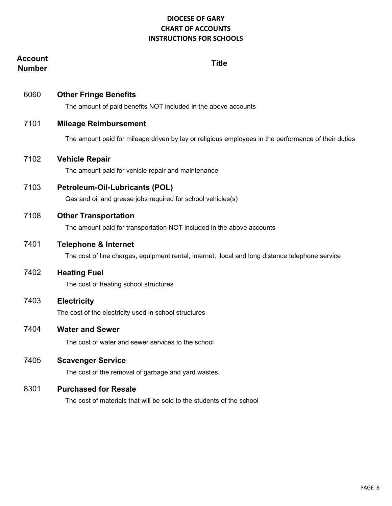| Account<br><b>Number</b> | <b>Title</b>                                                                                                                       |
|--------------------------|------------------------------------------------------------------------------------------------------------------------------------|
| 6060                     | <b>Other Fringe Benefits</b><br>The amount of paid benefits NOT included in the above accounts                                     |
| 7101                     | <b>Mileage Reimbursement</b>                                                                                                       |
|                          | The amount paid for mileage driven by lay or religious employees in the performance of their duties                                |
| 7102                     | <b>Vehicle Repair</b><br>The amount paid for vehicle repair and maintenance                                                        |
| 7103                     | <b>Petroleum-Oil-Lubricants (POL)</b><br>Gas and oil and grease jobs required for school vehicles(s)                               |
| 7108                     | <b>Other Transportation</b><br>The amount paid for transportation NOT included in the above accounts                               |
| 7401                     | <b>Telephone &amp; Internet</b><br>The cost of line charges, equipment rental, internet, local and long distance telephone service |
| 7402                     | <b>Heating Fuel</b><br>The cost of heating school structures                                                                       |
| 7403                     | <b>Electricity</b><br>The cost of the electricity used in school structures                                                        |
| 7404                     | <b>Water and Sewer</b><br>The cost of water and sewer services to the school                                                       |
| 7405                     | <b>Scavenger Service</b><br>The cost of the removal of garbage and yard wastes                                                     |
| 8301                     | <b>Purchased for Resale</b><br>The cost of materials that will be sold to the students of the school                               |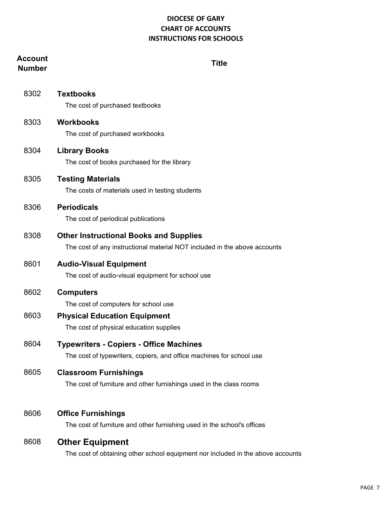# **Account Number Title** 8302 **Textbooks** The cost of purchased textbooks 8303 **Workbooks** The cost of purchased workbooks 8304 **Library Books** The cost of books purchased for the library 8305 **Testing Materials** The costs of materials used in testing students 8306 **Periodicals** The cost of periodical publications 8308 **Other Instructional Books and Supplies** The cost of any instructional material NOT included in the above accounts 8601 **Audio-Visual Equipment** The cost of audio-visual equipment for school use 8602 **Computers** The cost of computers for school use 8603 **Physical Education Equipment** The cost of physical education supplies 8604 **Typewriters - Copiers - Office Machines** The cost of typewriters, copiers, and office machines for school use 8605 **Classroom Furnishings** The cost of furniture and other furnishings used in the class rooms 8606 **Office Furnishings** The cost of furniture and other furnishing used in the school's offices

# 8608 **Other Equipment**

The cost of obtaining other school equipment nor included in the above accounts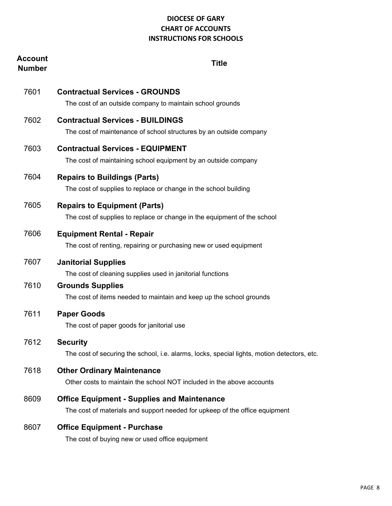| Account<br><b>Number</b> | <b>Title</b>                                                                                                                      |
|--------------------------|-----------------------------------------------------------------------------------------------------------------------------------|
| 7601                     | <b>Contractual Services - GROUNDS</b><br>The cost of an outside company to maintain school grounds                                |
| 7602                     | <b>Contractual Services - BUILDINGS</b><br>The cost of maintenance of school structures by an outside company                     |
| 7603                     | <b>Contractual Services - EQUIPMENT</b><br>The cost of maintaining school equipment by an outside company                         |
| 7604                     | <b>Repairs to Buildings (Parts)</b><br>The cost of supplies to replace or change in the school building                           |
| 7605                     | <b>Repairs to Equipment (Parts)</b><br>The cost of supplies to replace or change in the equipment of the school                   |
| 7606                     | <b>Equipment Rental - Repair</b><br>The cost of renting, repairing or purchasing new or used equipment                            |
| 7607                     | <b>Janitorial Supplies</b><br>The cost of cleaning supplies used in janitorial functions                                          |
| 7610                     | <b>Grounds Supplies</b><br>The cost of items needed to maintain and keep up the school grounds                                    |
| 7611                     | <b>Paper Goods</b><br>The cost of paper goods for janitorial use                                                                  |
| 7612                     | <b>Security</b><br>The cost of securing the school, i.e. alarms, locks, special lights, motion detectors, etc.                    |
| 7618                     | <b>Other Ordinary Maintenance</b><br>Other costs to maintain the school NOT included in the above accounts                        |
| 8609                     | <b>Office Equipment - Supplies and Maintenance</b><br>The cost of materials and support needed for upkeep of the office equipment |
| 8607                     | <b>Office Equipment - Purchase</b><br>The cost of buying new or used office equipment                                             |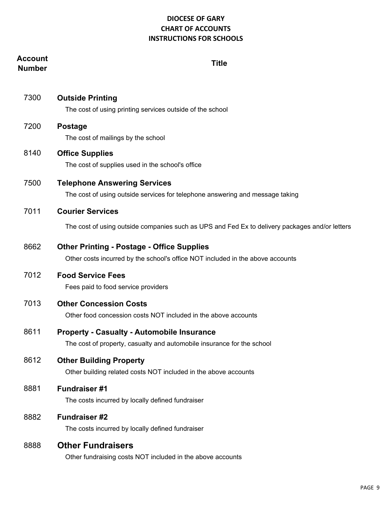## **Account Number Title**

| 7300 | <b>Outside Printing</b><br>The cost of using printing services outside of the school                                                |
|------|-------------------------------------------------------------------------------------------------------------------------------------|
| 7200 | <b>Postage</b><br>The cost of mailings by the school                                                                                |
| 8140 | <b>Office Supplies</b><br>The cost of supplies used in the school's office                                                          |
| 7500 | <b>Telephone Answering Services</b><br>The cost of using outside services for telephone answering and message taking                |
| 7011 | <b>Courier Services</b>                                                                                                             |
|      | The cost of using outside companies such as UPS and Fed Ex to delivery packages and/or letters                                      |
| 8662 | <b>Other Printing - Postage - Office Supplies</b><br>Other costs incurred by the school's office NOT included in the above accounts |
| 7012 | <b>Food Service Fees</b><br>Fees paid to food service providers                                                                     |
| 7013 | <b>Other Concession Costs</b><br>Other food concession costs NOT included in the above accounts                                     |
| 8611 | <b>Property - Casualty - Automobile Insurance</b><br>The cost of property, casualty and automobile insurance for the school         |
| 8612 | <b>Other Building Property</b><br>Other building related costs NOT included in the above accounts                                   |
| 8881 | <b>Fundraiser#1</b><br>The costs incurred by locally defined fundraiser                                                             |
| 8882 | <b>Fundraiser#2</b><br>The costs incurred by locally defined fundraiser                                                             |
| 8888 | <b>Other Fundraisers</b><br>Other fundraising costs NOT included in the above accounts                                              |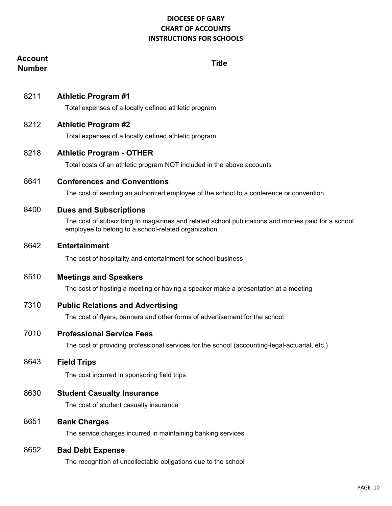# **Account Number Title**

8211 **Athletic Program #1**

Total expenses of a locally defined athletic program

8212 **Athletic Program #2**

Total expenses of a locally defined athletic program

8218 **Athletic Program - OTHER**

Total costs of an athletic program NOT included in the above accounts

8641 **Conferences and Conventions**

The cost of sending an authorized employee of the school to a conference or convention

#### 8400 **Dues and Subscriptions**

The cost of subscribing to magazines and related school publications and monies paid for a school employee to belong to a school-related organization

8642 **Entertainment**

The cost of hospitality and entertainment for school business

#### 8510 **Meetings and Speakers**

The cost of hosting a meeting or having a speaker make a presentation at a meeting

#### 7310 **Public Relations and Advertising**

The cost of flyers, banners and other forms of advertisement for the school

#### 7010 **Professional Service Fees**

The cost of providing professional services for the school (accounting-legal-actuarial, etc.)

8643 **Field Trips**

The cost incurred in sponsoring field trips

#### 8630 **Student Casualty Insurance**

The cost of student casualty insurance

8651 **Bank Charges**

The service charges incurred in maintaining banking services

#### 8652 **Bad Debt Expense**

The recognition of uncollectable obligations due to the school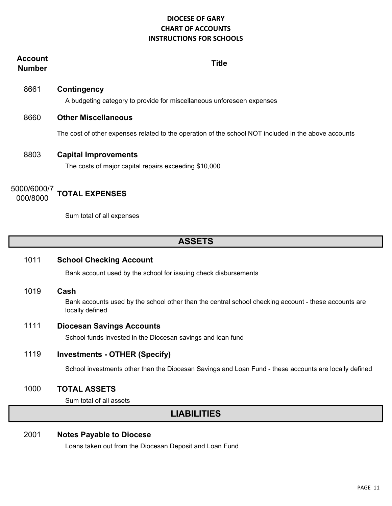# **Account Number Title** 8661 **Contingency** A budgeting category to provide for miscellaneous unforeseen expenses 8660 **Other Miscellaneous** The cost of other expenses related to the operation of the school NOT included in the above accounts 8803 **Capital Improvements** The costs of major capital repairs exceeding \$10,000 5000/6000/7 000/8000 **TOTAL EXPENSES**

Sum total of all expenses

# **ASSETS**

#### 1011 **School Checking Account**

Bank account used by the school for issuing check disbursements

1019 **Cash** 

Bank accounts used by the school other than the central school checking account - these accounts are locally defined

#### 1111 **Diocesan Savings Accounts**

School funds invested in the Diocesan savings and loan fund

#### 1119 **Investments - OTHER (Specify)**

School investments other than the Diocesan Savings and Loan Fund - these accounts are locally defined

#### 1000 **TOTAL ASSETS**

Sum total of all assets

# **LIABILITIES**

#### 2001 **Notes Payable to Diocese**

Loans taken out from the Diocesan Deposit and Loan Fund